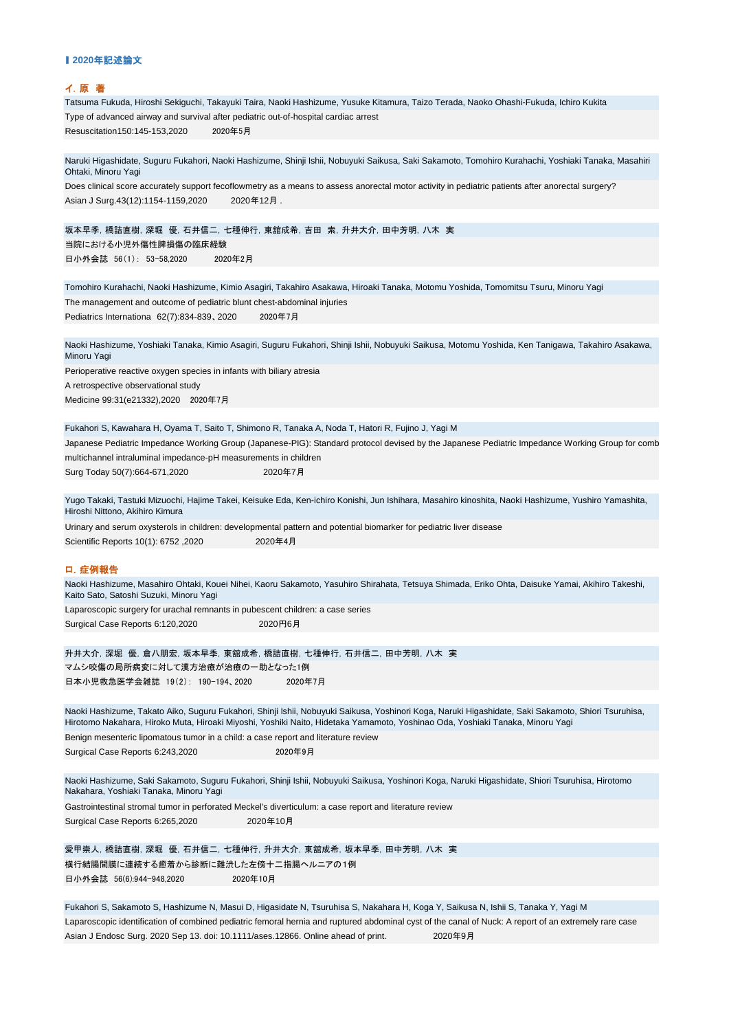| ▌2020年記述論文                                                                                                                                                                                                                                                                           |
|--------------------------------------------------------------------------------------------------------------------------------------------------------------------------------------------------------------------------------------------------------------------------------------|
| イ.原 著                                                                                                                                                                                                                                                                                |
| Tatsuma Fukuda, Hiroshi Sekiguchi, Takayuki Taira, Naoki Hashizume, Yusuke Kitamura, Taizo Terada, Naoko Ohashi-Fukuda, Ichiro Kukita                                                                                                                                                |
| Type of advanced airway and survival after pediatric out-of-hospital cardiac arrest                                                                                                                                                                                                  |
| 2020年5月<br>Resuscitation150:145-153,2020                                                                                                                                                                                                                                             |
|                                                                                                                                                                                                                                                                                      |
| Naruki Higashidate, Suguru Fukahori, Naoki Hashizume, Shinji Ishii, Nobuyuki Saikusa, Saki Sakamoto, Tomohiro Kurahachi, Yoshiaki Tanaka, Masahiri<br>Ohtaki, Minoru Yagi                                                                                                            |
| Does clinical score accurately support fecoflowmetry as a means to assess anorectal motor activity in pediatric patients after anorectal surgery?<br>2020年12月.<br>Asian J Surg.43(12):1154-1159,2020                                                                                 |
| 坂本早季, 橋詰直樹, 深堀 優, 石井信二, 七種伸行, 東舘成希, 吉田 索, 升井大介, 田中芳明, 八木 実                                                                                                                                                                                                                           |
| 当院における小児外傷性脾損傷の臨床経験                                                                                                                                                                                                                                                                  |
| 日小外会誌 56(1): 53-58,2020<br>2020年2月                                                                                                                                                                                                                                                   |
|                                                                                                                                                                                                                                                                                      |
| Tomohiro Kurahachi, Naoki Hashizume, Kimio Asagiri, Takahiro Asakawa, Hiroaki Tanaka, Motomu Yoshida, Tomomitsu Tsuru, Minoru Yagi                                                                                                                                                   |
| The management and outcome of pediatric blunt chest-abdominal injuries                                                                                                                                                                                                               |
| Pediatrics Internationa 62(7):834-839, 2020<br>2020年7月                                                                                                                                                                                                                               |
|                                                                                                                                                                                                                                                                                      |
| Naoki Hashizume, Yoshiaki Tanaka, Kimio Asagiri, Suguru Fukahori, Shinji Ishii, Nobuyuki Saikusa, Motomu Yoshida, Ken Tanigawa, Takahiro Asakawa,<br>Minoru Yagi                                                                                                                     |
| Perioperative reactive oxygen species in infants with biliary atresia                                                                                                                                                                                                                |
| A retrospective observational study                                                                                                                                                                                                                                                  |
| Medicine 99:31(e21332), 2020 2020年7月                                                                                                                                                                                                                                                 |
| Fukahori S, Kawahara H, Oyama T, Saito T, Shimono R, Tanaka A, Noda T, Hatori R, Fujino J, Yagi M                                                                                                                                                                                    |
| Japanese Pediatric Impedance Working Group (Japanese-PIG): Standard protocol devised by the Japanese Pediatric Impedance Working Group for comb                                                                                                                                      |
| multichannel intraluminal impedance-pH measurements in children                                                                                                                                                                                                                      |
| Surg Today 50(7):664-671,2020<br>2020年7月                                                                                                                                                                                                                                             |
|                                                                                                                                                                                                                                                                                      |
| Yugo Takaki, Tastuki Mizuochi, Hajime Takei, Keisuke Eda, Ken-ichiro Konishi, Jun Ishihara, Masahiro kinoshita, Naoki Hashizume, Yushiro Yamashita,<br>Hiroshi Nittono, Akihiro Kimura                                                                                               |
| Urinary and serum oxysterols in children: developmental pattern and potential biomarker for pediatric liver disease                                                                                                                                                                  |
| Scientific Reports 10(1): 6752, 2020<br>2020年4月                                                                                                                                                                                                                                      |
| 口. 症例報告                                                                                                                                                                                                                                                                              |
| Naoki Hashizume, Masahiro Ohtaki, Kouei Nihei, Kaoru Sakamoto, Yasuhiro Shirahata, Tetsuya Shimada, Eriko Ohta, Daisuke Yamai, Akihiro Takeshi,                                                                                                                                      |
| Kaito Sato, Satoshi Suzuki, Minoru Yagi                                                                                                                                                                                                                                              |
| Laparoscopic surgery for urachal remnants in pubescent children: a case series<br>Surgical Case Reports 6:120,2020<br>2020円6月                                                                                                                                                        |
|                                                                                                                                                                                                                                                                                      |
| 升井大介, 深堀 優, 倉八朋宏, 坂本早季, 東舘成希, 橋詰直樹, 七種伸行, 石井信二, 田中芳明, 八木 実<br>マムシ咬傷の局所病変に対して漢方治療が治療の一助となった1例                                                                                                                                                                                         |
| 2020年7月<br>日本小児救急医学会雑誌 19(2): 190-194、2020                                                                                                                                                                                                                                           |
|                                                                                                                                                                                                                                                                                      |
| Naoki Hashizume, Takato Aiko, Suguru Fukahori, Shinji Ishii, Nobuyuki Saikusa, Yoshinori Koga, Naruki Higashidate, Saki Sakamoto, Shiori Tsuruhisa,<br>Hirotomo Nakahara, Hiroko Muta, Hiroaki Miyoshi, Yoshiki Naito, Hidetaka Yamamoto, Yoshinao Oda, Yoshiaki Tanaka, Minoru Yagi |
| Benign mesenteric lipomatous tumor in a child: a case report and literature review                                                                                                                                                                                                   |
| Surgical Case Reports 6:243,2020<br>2020年9月                                                                                                                                                                                                                                          |
| Naoki Hashizume, Saki Sakamoto, Suguru Fukahori, Shinji Ishii, Nobuyuki Saikusa, Yoshinori Koga, Naruki Higashidate, Shiori Tsuruhisa, Hirotomo<br>Nakahara, Yoshiaki Tanaka, Minoru Yagi                                                                                            |
| Gastrointestinal stromal tumor in perforated Meckel's diverticulum: a case report and literature review                                                                                                                                                                              |
| Surgical Case Reports 6:265,2020<br>2020年10月                                                                                                                                                                                                                                         |
|                                                                                                                                                                                                                                                                                      |
| 愛甲崇人, 橋詰直樹, 深堀 優, 石井信二, 七種伸行, 升井大介, 東舘成希, 坂本早季, 田中芳明, 八木 実                                                                                                                                                                                                                           |
| 横行結腸間膜に連続する癒着から診断に難渋した左傍十二指腸ヘルニアの1例<br>日小外会誌 56(6):944-948,2020<br>2020年10月                                                                                                                                                                                                          |
|                                                                                                                                                                                                                                                                                      |
| Fukahori S, Sakamoto S, Hashizume N, Masui D, Higasidate N, Tsuruhisa S, Nakahara H, Koga Y, Saikusa N, Ishii S, Tanaka Y, Yagi M                                                                                                                                                    |
| Laparoscopic identification of combined pediatric femoral hernia and ruptured abdominal cyst of the canal of Nuck: A report of an extremely rare case                                                                                                                                |
| Asian J Endosc Surg. 2020 Sep 13. doi: 10.1111/ases.12866. Online ahead of print.<br>2020年9月                                                                                                                                                                                         |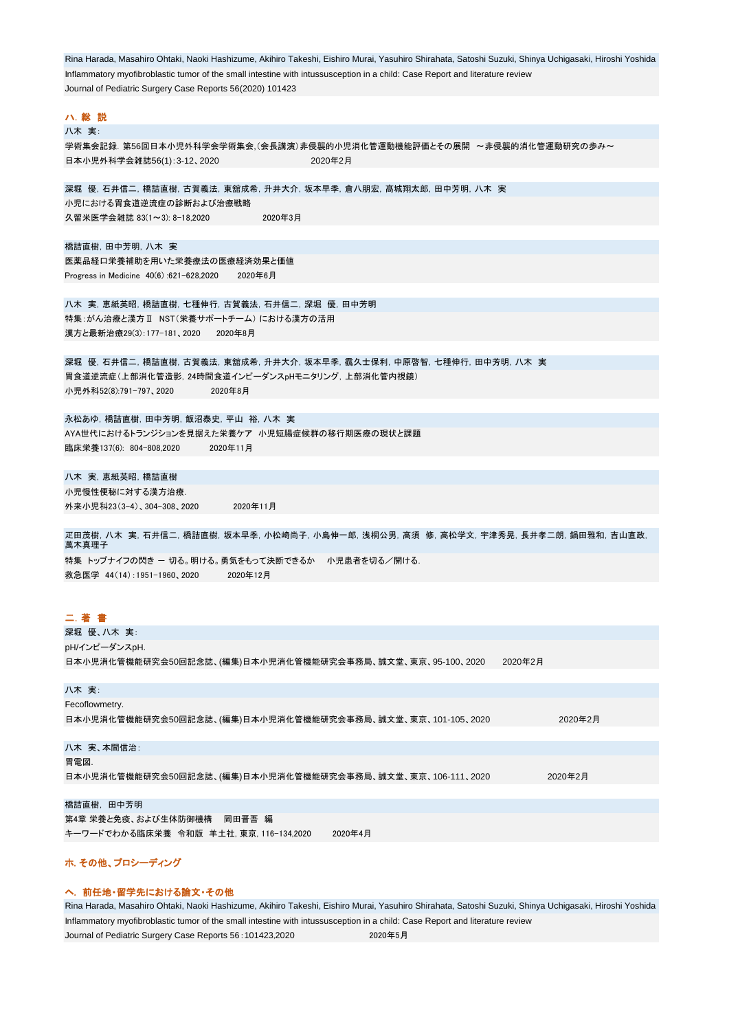| Rina Harada, Masahiro Ohtaki, Naoki Hashizume, Akihiro Takeshi, Eishiro Murai, Yasuhiro Shirahata, Satoshi Suzuki, Shinya Uchiqasaki, Hiroshi Yoshida |
|-------------------------------------------------------------------------------------------------------------------------------------------------------|
| Inflammatory myofibroblastic tumor of the small intestine with intussusception in a child: Case Report and literature review                          |
| Journal of Pediatric Surgery Case Reports 56(2020) 101423                                                                                             |

| ハ.総 説                                                                                           |
|-------------------------------------------------------------------------------------------------|
| 八木 実:                                                                                           |
| 学術集会記録. 第56回日本小児外科学会学術集会,(会長講演)非侵襲的小児消化管運動機能評価とその展開 ~非侵襲的消化管運動研究の歩み~                            |
| 日本小児外科学会雑誌56(1):3-12、2020<br>2020年2月                                                            |
|                                                                                                 |
| 深堀 優 石井信二 橋詰直樹 古賀義法 東舘成希 升井大介 坂本早季 倉八朋宏 髙城翔太郎 田中芳明 八木 実                                         |
| 小児における胃食道逆流症の診断および治療戦略                                                                          |
| 久留米医学会雑誌 83(1~3): 8-18,2020<br>2020年3月                                                          |
| 橋詰直樹, 田中芳明, 八木 実                                                                                |
| 医薬品経ロ栄養補助を用いた栄養療法の医療経済効果と価値                                                                     |
| Progress in Medicine 40(6):621-628,2020<br>2020年6月                                              |
|                                                                                                 |
| 八木 実,恵紙英昭,橋詰直樹,七種伸行,古賀義法,石井信二,深堀 優,田中芳明                                                         |
| 特集:がん治療と漢方Ⅱ NST(栄養サポートチーム) における漢方の活用                                                            |
| 漢方と最新治療29(3):177-181、2020 2020年8月                                                               |
|                                                                                                 |
| 深堀 優,石井信二,橋詰直樹,古賀義法,東舘成希,升井大介,坂本早季,靍久士保利,中原啓智,七種伸行,田中芳明,八木 実                                    |
| 胃食道逆流症(上部消化管造影, 24時間食道インピーダンスpHモニタリング, 上部消化管内視鏡)                                                |
| 小児外科52(8):791-797、2020<br>2020年8月                                                               |
|                                                                                                 |
| 永松あゆ,橋詰直樹,田中芳明,飯沼泰史,平山 裕,八木 実                                                                   |
| AYA世代におけるトランジションを見据えた栄養ケア 小児短腸症候群の移行期医療の現状と課題<br>臨床栄養137(6):804-808,2020<br>2020年11月            |
|                                                                                                 |
| 八木 実,恵紙英昭,橋詰直樹                                                                                  |
| 小児慢性便秘に対する漢方治療.                                                                                 |
| 外来小児科23(3-4)、304-308、2020<br>2020年11月                                                           |
|                                                                                                 |
| 疋田茂樹, 八木 実, 石井信二, 橋詰直樹, 坂本早季, 小松崎尚子, 小島伸一郎, 浅桐公男, 高須 修, 高松学文, 宇津秀晃, 長井孝二朗, 鍋田雅和, 吉山直政,<br>萬木真理子 |
| 特集 トップナイフの閃き ― 切る。明ける。勇気をもって決断できるか ― 小児患者を切る/開ける.                                               |
| 救急医学 44(14):1951-1960、2020   2020年12月                                                           |
|                                                                                                 |
|                                                                                                 |
| 二. 著 書<br>深堀 優、八木 実:                                                                            |
| pH/インピーダンスpH.                                                                                   |
| 日本小児消化管機能研究会50回記念誌、(編集)日本小児消化管機能研究会事務局、誠文堂、東京、95-100、2020<br>2020年2月                            |
|                                                                                                 |
| 八木 実:                                                                                           |
| Fecoflowmetry.                                                                                  |
| 日本小児消化管機能研究会50回記念誌、(編集)日本小児消化管機能研究会事務局、誠文堂、東京、101-105、2020<br>2020年2月                           |
|                                                                                                 |
| 八木 実、本間信治:                                                                                      |
| 胃電図.                                                                                            |

日本小児消化管機能研究会50回記念誌、(編集)日本小児消化管機能研究会事務局、誠文堂、東京、106-111、2020 2020年2月

## 橋詰直樹, 田中芳明

第4章 栄養と免疫、および生体防御機構 岡田晋吾 編 キーワードでわかる臨床栄養 令和版 羊土社, 東京, 116-134,2020 2020年4月

## ホ. その他、プロシーディング

## ヘ. 前任地・留学先における論文・その他

Inflammatory myofibroblastic tumor of the small intestine with intussusception in a child: Case Report and literature review Journal of Pediatric Surgery Case Reports 56:101423,2020 2020年5月 Rina Harada, Masahiro Ohtaki, Naoki Hashizume, Akihiro Takeshi, Eishiro Murai, Yasuhiro Shirahata, Satoshi Suzuki, Shinya Uchigasaki, Hiroshi Yoshida